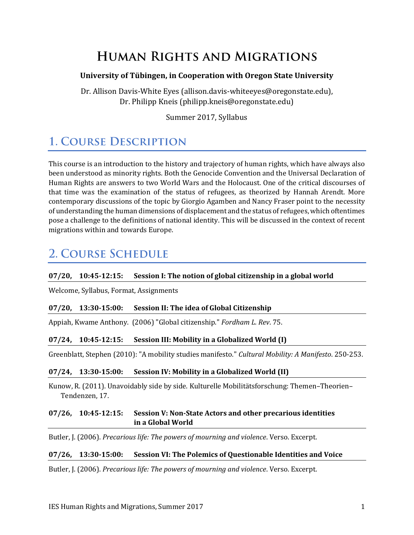## **HUMAN RIGHTS AND MIGRATIONS**

#### **University of Tübingen, in Cooperation with Oregon State University**

Dr. Allison Davis-White Eyes (allison.davis-whiteeyes@oregonstate.edu), Dr. Philipp Kneis (philipp.kneis@oregonstate.edu)

Summer 2017, Syllabus

# **1. COURSE DESCRIPTION**

This course is an introduction to the history and trajectory of human rights, which have always also been understood as minority rights. Both the Genocide Convention and the Universal Declaration of Human Rights are answers to two World Wars and the Holocaust. One of the critical discourses of that time was the examination of the status of refugees, as theorized by Hannah Arendt. More contemporary discussions of the topic by Giorgio Agamben and Nancy Fraser point to the necessity of understanding the human dimensions of displacement and the status of refugees, which oftentimes pose a challenge to the definitions of national identity. This will be discussed in the context of recent migrations within and towards Europe.

## **2. COURSE SCHEDULE**

#### **07/20, 10:45-12:15: Session I: The notion of global citizenship in a global world**

Welcome, Syllabus, Format, Assignments

#### **07/20, 13:30-15:00: Session II: The idea of Global Citizenship**

Appiah, Kwame Anthony. (2006) "Global citizenship." *Fordham L. Rev*. 75.

#### **07/24, 10:45-12:15: Session III: Mobility in a Globalized World (I)**

Greenblatt, Stephen (2010): "A mobility studies manifesto." *Cultural Mobility: A Manifesto*. 250-253.

#### **07/24, 13:30-15:00: Session IV: Mobility in a Globalized World (II)**

Kunow, R. (2011). Unavoidably side by side. Kulturelle Mobilitätsforschung: Themen–Theorien– Tendenzen, 17.

#### **07/26, 10:45-12:15: Session V: Non-State Actors and other precarious identities in a Global World**

Butler, J. (2006). *Precarious life: The powers of mourning and violence*. Verso. Excerpt.

#### **07/26, 13:30-15:00: Session VI: The Polemics of Questionable Identities and Voice**

Butler, J. (2006). *Precarious life: The powers of mourning and violence*. Verso. Excerpt.